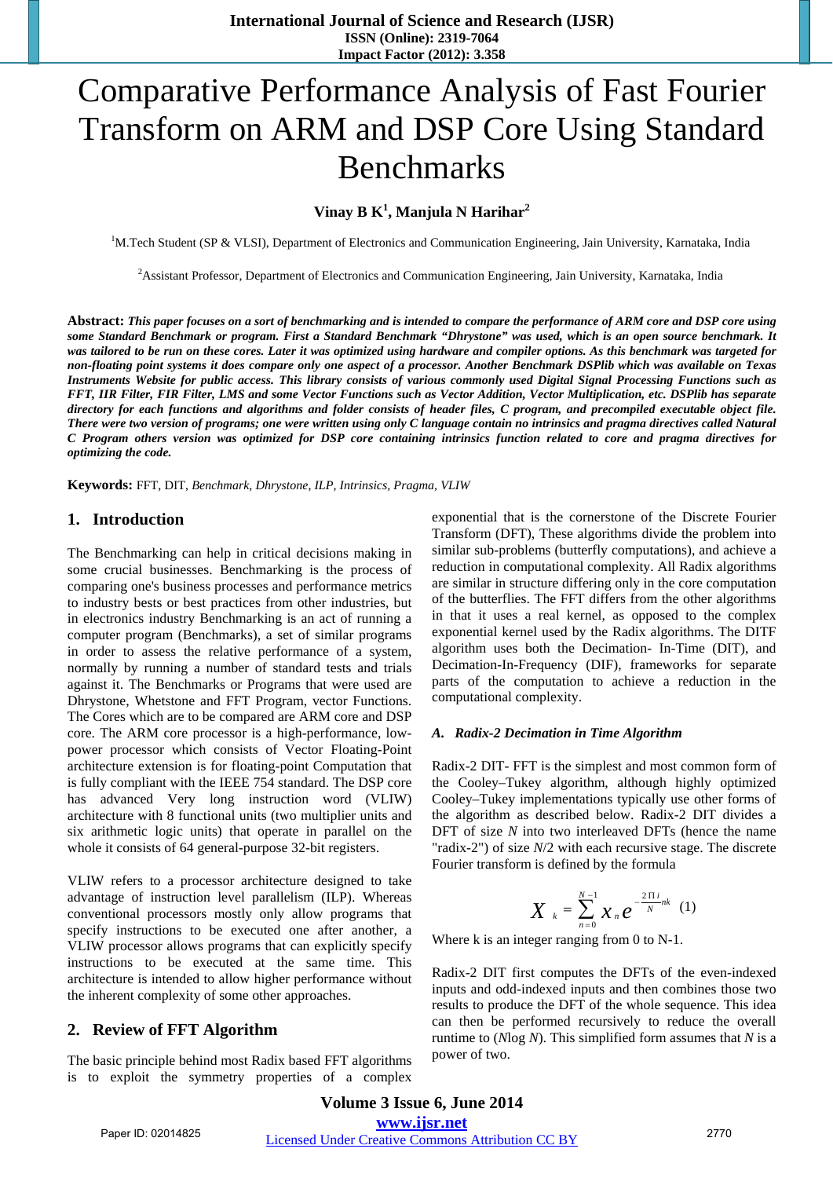# Comparative Performance Analysis of Fast Fourier Transform on ARM and DSP Core Using Standard Benchmarks

# **Vinay B K1 , Manjula N Harihar2**

<sup>1</sup>M.Tech Student (SP & VLSI), Department of Electronics and Communication Engineering, Jain University, Karnataka, India

<sup>2</sup> Assistant Professor, Department of Electronics and Communication Engineering, Jain University, Karnataka, India

**Abstract:** *This paper focuses on a sort of benchmarking and is intended to compare the performance of ARM core and DSP core using some Standard Benchmark or program. First a Standard Benchmark "Dhrystone" was used, which is an open source benchmark. It was tailored to be run on these cores. Later it was optimized using hardware and compiler options. As this benchmark was targeted for non-floating point systems it does compare only one aspect of a processor. Another Benchmark DSPlib which was available on Texas Instruments Website for public access. This library consists of various commonly used Digital Signal Processing Functions such as FFT, IIR Filter, FIR Filter, LMS and some Vector Functions such as Vector Addition, Vector Multiplication, etc. DSPlib has separate directory for each functions and algorithms and folder consists of header files, C program, and precompiled executable object file. There were two version of programs; one were written using only C language contain no intrinsics and pragma directives called Natural C Program others version was optimized for DSP core containing intrinsics function related to core and pragma directives for optimizing the code.* 

**Keywords:** FFT, DIT, *Benchmark, Dhrystone, ILP, Intrinsics, Pragma, VLIW*

# **1. Introduction**

The Benchmarking can help in critical decisions making in some crucial businesses. Benchmarking is the process of comparing one's business processes and performance metrics to industry bests or best practices from other industries, but in electronics industry Benchmarking is an act of running a computer program (Benchmarks), a set of similar programs in order to assess the relative performance of a system, normally by running a number of standard tests and trials against it. The Benchmarks or Programs that were used are Dhrystone, Whetstone and FFT Program, vector Functions. The Cores which are to be compared are ARM core and DSP core. The ARM core processor is a high-performance, lowpower processor which consists of Vector Floating-Point architecture extension is for floating-point Computation that is fully compliant with the IEEE 754 standard. The DSP core has advanced Very long instruction word (VLIW) architecture with 8 functional units (two multiplier units and six arithmetic logic units) that operate in parallel on the whole it consists of 64 general-purpose 32-bit registers.

VLIW refers to a processor architecture designed to take advantage of instruction level parallelism (ILP). Whereas conventional processors mostly only allow programs that specify instructions to be executed one after another, a VLIW processor allows programs that can explicitly specify instructions to be executed at the same time. This architecture is intended to allow higher performance without the inherent complexity of some other approaches.

## **2. Review of FFT Algorithm**

The basic principle behind most Radix based FFT algorithms is to exploit the symmetry properties of a complex exponential that is the cornerstone of the Discrete Fourier Transform (DFT), These algorithms divide the problem into similar sub-problems (butterfly computations), and achieve a reduction in computational complexity. All Radix algorithms are similar in structure differing only in the core computation of the butterflies. The FFT differs from the other algorithms in that it uses a real kernel, as opposed to the complex exponential kernel used by the Radix algorithms. The DITF algorithm uses both the Decimation- In-Time (DIT), and Decimation-In-Frequency (DIF), frameworks for separate parts of the computation to achieve a reduction in the computational complexity.

#### *A. Radix-2 Decimation in Time Algorithm*

Radix-2 DIT- FFT is the simplest and most common form of the Cooley–Tukey algorithm, although highly optimized Cooley–Tukey implementations typically use other forms of the algorithm as described below. Radix-2 DIT divides a DFT of size *N* into two interleaved DFTs (hence the name "radix-2") of size *N*/2 with each recursive stage. The discrete Fourier transform is defined by the formula

$$
X_{k} = \sum_{n=0}^{N-1} x_{n} e^{-\frac{2 \pi i}{N} nk} \quad (1)
$$

Where k is an integer ranging from 0 to N-1.

Radix-2 DIT first computes the DFTs of the even-indexed inputs and odd-indexed inputs and then combines those two results to produce the DFT of the whole sequence. This idea can then be performed recursively to reduce the overall runtime to (*N*log *N*). This simplified form assumes that *N* is a power of two.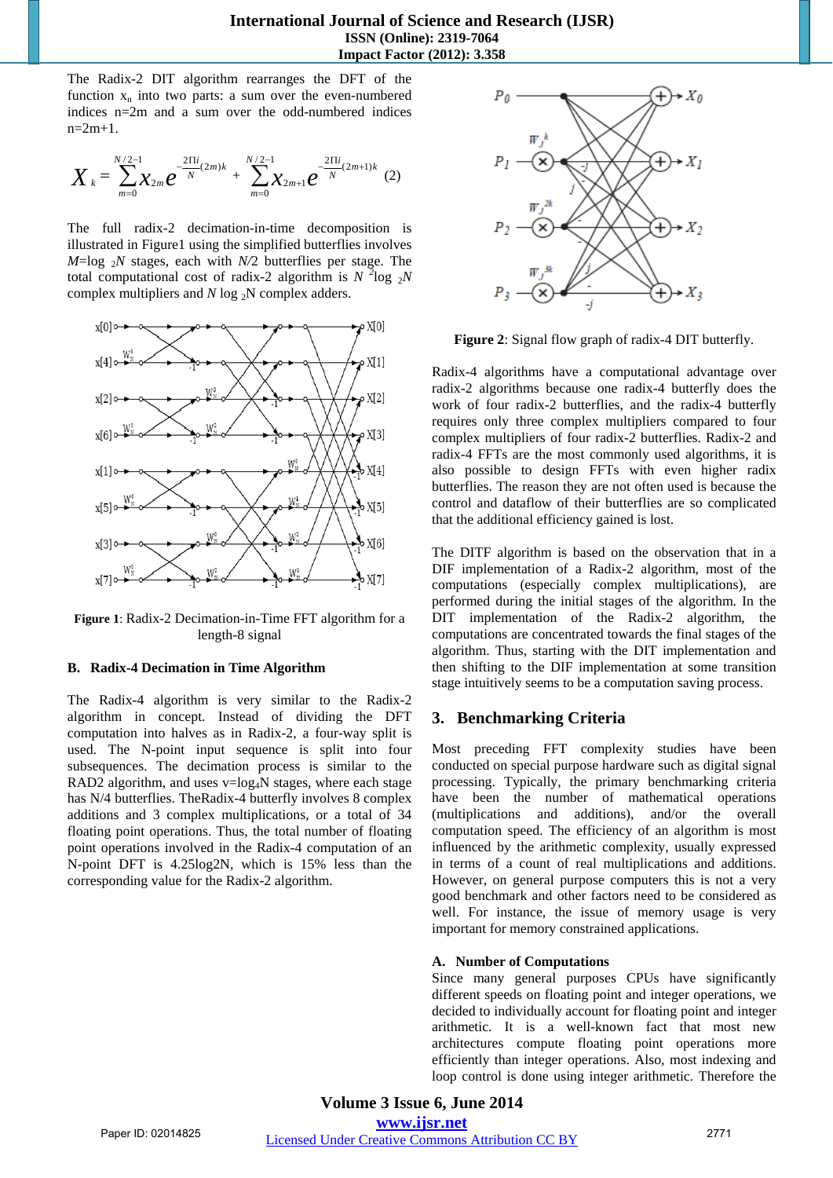The Radix-2 DIT algorithm rearranges the DFT of the function  $x_n$  into two parts: a sum over the even-numbered indices n=2m and a sum over the odd-numbered indices  $n=2m+1$ .

$$
X_{k} = \sum_{m=0}^{N/2-1} \chi_{2m} e^{-\frac{2 \pi i}{N}(2m)k} + \sum_{m=0}^{N/2-1} \chi_{2m+1} e^{-\frac{2 \pi i}{N}(2m+1)k}
$$
(2)

The full radix-2 decimation-in-time decomposition is illustrated in Figure1 using the simplified butterflies involves  $M = \log_2 N$  stages, each with  $N/2$  butterflies per stage. The total computational cost of radix-2 algorithm is  $N^2 \log_2 N$ complex multipliers and  $N \log_2 N$  complex adders.



**Figure 1**: Radix-2 Decimation-in-Time FFT algorithm for a length-8 signal

### **B. Radix-4 Decimation in Time Algorithm**

The Radix-4 algorithm is very similar to the Radix-2 algorithm in concept. Instead of dividing the DFT computation into halves as in Radix-2, a four-way split is used. The N-point input sequence is split into four subsequences. The decimation process is similar to the RAD2 algorithm, and uses  $v=log<sub>4</sub>N$  stages, where each stage has N/4 butterflies. TheRadix-4 butterfly involves 8 complex additions and 3 complex multiplications, or a total of 34 floating point operations. Thus, the total number of floating point operations involved in the Radix-4 computation of an N-point DFT is 4.25log2N, which is 15% less than the corresponding value for the Radix-2 algorithm.



**Figure 2**: Signal flow graph of radix-4 DIT butterfly.

Radix-4 algorithms have a computational advantage over radix-2 algorithms because one radix-4 butterfly does the work of four radix-2 butterflies, and the radix-4 butterfly requires only three complex multipliers compared to four complex multipliers of four radix-2 butterflies. Radix-2 and radix-4 FFTs are the most commonly used algorithms, it is also possible to design FFTs with even higher radix butterflies. The reason they are not often used is because the control and dataflow of their butterflies are so complicated that the additional efficiency gained is lost.

The DITF algorithm is based on the observation that in a DIF implementation of a Radix-2 algorithm, most of the computations (especially complex multiplications), are performed during the initial stages of the algorithm. In the DIT implementation of the Radix-2 algorithm, the computations are concentrated towards the final stages of the algorithm. Thus, starting with the DIT implementation and then shifting to the DIF implementation at some transition stage intuitively seems to be a computation saving process.

# **3. Benchmarking Criteria**

Most preceding FFT complexity studies have been conducted on special purpose hardware such as digital signal processing. Typically, the primary benchmarking criteria have been the number of mathematical operations (multiplications and additions), and/or the overall computation speed. The efficiency of an algorithm is most influenced by the arithmetic complexity, usually expressed in terms of a count of real multiplications and additions. However, on general purpose computers this is not a very good benchmark and other factors need to be considered as well. For instance, the issue of memory usage is very important for memory constrained applications.

## **A. Number of Computations**

Since many general purposes CPUs have significantly different speeds on floating point and integer operations, we decided to individually account for floating point and integer arithmetic. It is a well-known fact that most new architectures compute floating point operations more efficiently than integer operations. Also, most indexing and loop control is done using integer arithmetic. Therefore the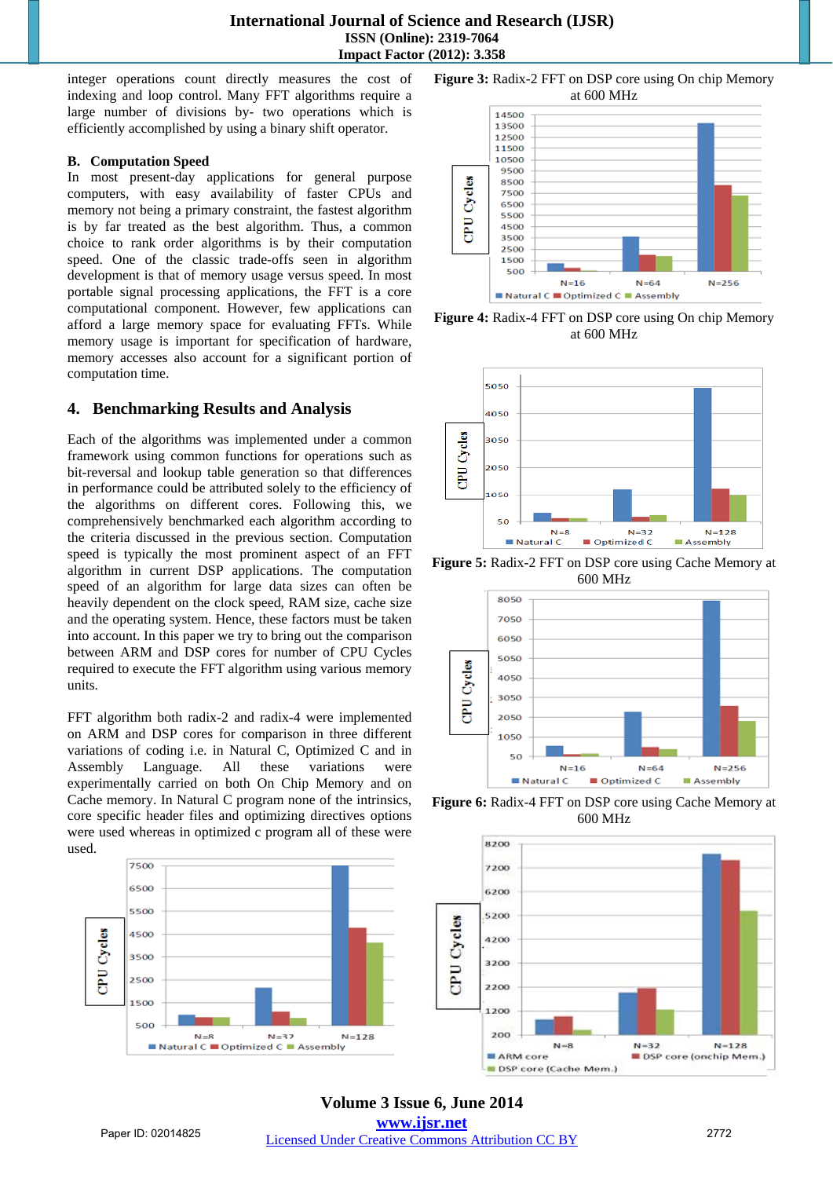**International Journal of Science and Research (IJSR) ISSN (Online): 2319-7064 Impact Factor (2012): 3.358** 

integer operations count directly measures the cost of indexing and loop control. Many FFT algorithms require a large number of divisions by- two operations which is efficiently accomplished by using a binary shift operator.

## **B. Computation Speed**

In most present-day applications for general purpose computers, with easy availability of faster CPUs and memory not being a primary constraint, the fastest algorithm is by far treated as the best algorithm. Thus, a common choice to rank order algorithms is by their computation speed. One of the classic trade-offs seen in algorithm development is that of memory usage versus speed. In most portable signal processing applications, the FFT is a core computational component. However, few applications can afford a large memory space for evaluating FFTs. While memory usage is important for specification of hardware, memory accesses also account for a significant portion of computation time.

## **4. Benchmarking Results and Analysis**

Each of the algorithms was implemented under a common framework using common functions for operations such as bit-reversal and lookup table generation so that differences in performance could be attributed solely to the efficiency of the algorithms on different cores. Following this, we comprehensively benchmarked each algorithm according to the criteria discussed in the previous section. Computation speed is typically the most prominent aspect of an FFT algorithm in current DSP applications. The computation speed of an algorithm for large data sizes can often be heavily dependent on the clock speed, RAM size, cache size and the operating system. Hence, these factors must be taken into account. In this paper we try to bring out the comparison between ARM and DSP cores for number of CPU Cycles required to execute the FFT algorithm using various memory units.

FFT algorithm both radix-2 and radix-4 were implemented on ARM and DSP cores for comparison in three different variations of coding i.e. in Natural C, Optimized C and in Assembly Language. All these variations were experimentally carried on both On Chip Memory and on Cache memory. In Natural C program none of the intrinsics, core specific header files and optimizing directives options were used whereas in optimized c program all of these were used.



**Figure 3:** Radix-2 FFT on DSP core using On chip Memory at 600 MHz



**Figure 4:** Radix-4 FFT on DSP core using On chip Memory at 600 MHz



**Figure 5:** Radix-2 FFT on DSP core using Cache Memory at 600 MHz



**Figure 6:** Radix-4 FFT on DSP core using Cache Memory at 600 MHz



**Volume 3 Issue 6, June 2014 www.ijsr.net** Paper ID: 02014825 *Licensed Under Creative Commons Attribution CC BY* 2772